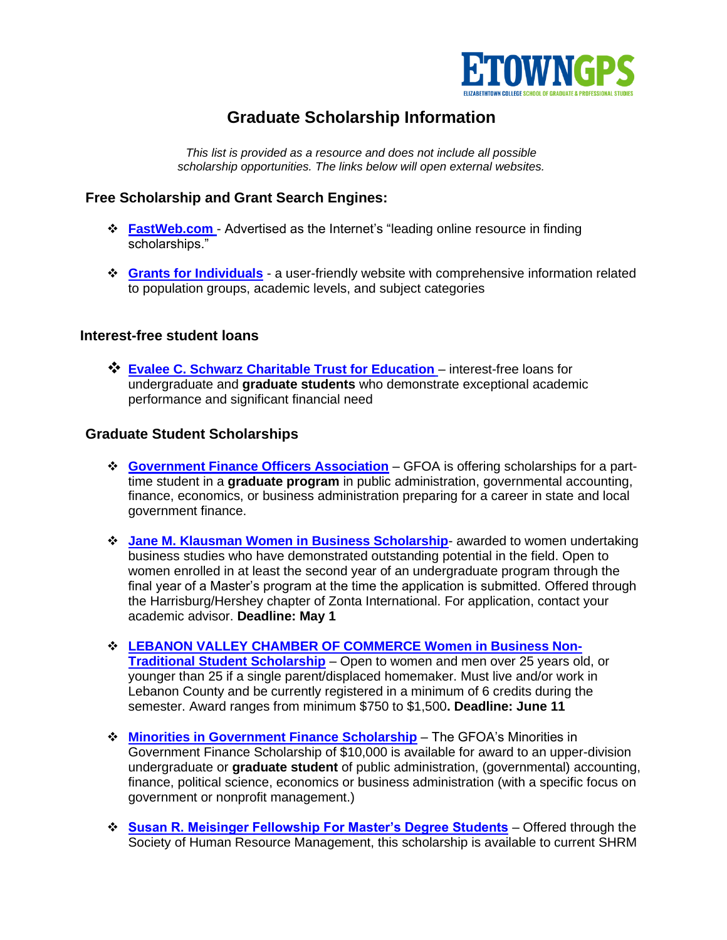

## **Graduate Scholarship Information**

*This list is provided as a resource and does not include all possible scholarship opportunities. The links below will open external websites.*

## **Free Scholarship and Grant Search Engines:**

- ❖ **[FastWeb.com](http://www.fastweb.com/)** Advertised as the Internet's "leading online resource in finding scholarships."
- ❖ **[Grants for Individuals](https://libguides.lib.msu.edu/c.php?g=96743&p=622546)** a user-friendly website with comprehensive information related to population groups, academic levels, and subject categories

## **Interest-free student loans**

❖ **[Evalee C. Schwarz Charitable Trust for Education](http://www.evaleeschwarztrust.org/)** – interest-free loans for undergraduate and **graduate students** who demonstrate exceptional academic performance and significant financial need

## **Graduate Student Scholarships**

- ❖ **[Government Finance Officers Association](https://www.gfoa.org/about-gfoa/student-opportunities/gfoa-scholarships-full-and-part-time-students)** GFOA is offering scholarships for a parttime student in a **graduate program** in public administration, governmental accounting, finance, economics, or business administration preparing for a career in state and local government finance.
- ❖ **[Jane M. Klausman Women in Business Scholarship](https://zontaharrisburghershey.org/scholarships/)** awarded to women undertaking business studies who have demonstrated outstanding potential in the field. Open to women enrolled in at least the second year of an undergraduate program through the final year of a Master's program at the time the application is submitted. Offered through the Harrisburg/Hershey chapter of Zonta International. For application, contact your academic advisor. **Deadline: May 1**
- ❖ **[LEBANON VALLEY CHAMBER OF COMMERCE Women in Business Non-](https://lvchamber.org/wp-content/uploads/2021WIBscholarship1.pdf)[Traditional Student Scholarship](https://lvchamber.org/wp-content/uploads/2021WIBscholarship1.pdf)** – Open to women and men over 25 years old, or younger than 25 if a single parent/displaced homemaker. Must live and/or work in Lebanon County and be currently registered in a minimum of 6 credits during the semester. Award ranges from minimum \$750 to \$1,500**. Deadline: June 11**
- ❖ **[Minorities in Government Finance Scholarship](http://www.gfoa.org/about-gfoa/student-opportunities/scholarships-full-and-part-time-students)** The GFOA's Minorities in Government Finance Scholarship of \$10,000 is available for award to an upper-division undergraduate or **graduate student** of public administration, (governmental) accounting, finance, political science, economics or business administration (with a specific focus on government or nonprofit management.)
- ❖ **[Susan R. Meisinger Fellowship For Master's Degree Students](https://shrmf.smapply.io/prog/2021_susan_r_meisinger_fellowship/)** Offered through the Society of Human Resource Management, this scholarship is available to current SHRM